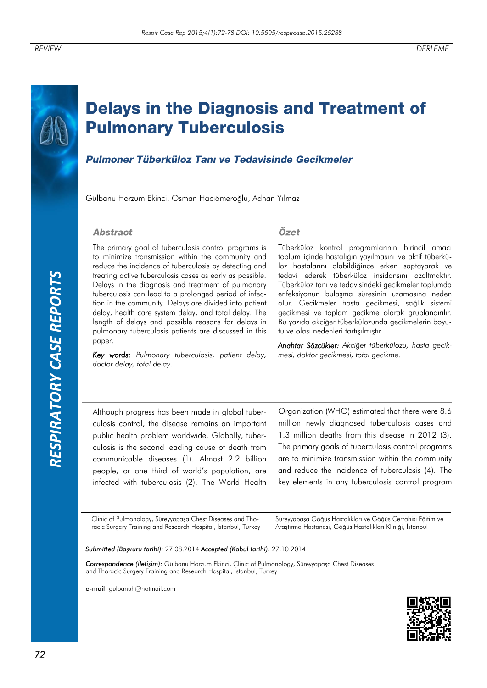*RESPIRATORY CASE REPORTS*RESPIRATORY CASE REPORTS

# **Delays in the Diagnosis and Treatment of Pulmonary Tuberculosis**

# Pulmoner Tüberküloz Tanı ve Tedavisinde Gecikmeler

Gülbanu Horzum Ekinci, Osman Hacıömeroğlu, Adnan Yılmaz

#### **Abstract**

The primary goal of tuberculosis control programs is to minimize transmission within the community and reduce the incidence of tuberculosis by detecting and treating active tuberculosis cases as early as possible. Delays in the diagnosis and treatment of pulmonary tuberculosis can lead to a prolonged period of infection in the community. Delays are divided into patient delay, health care system delay, and total delay. The length of delays and possible reasons for delays in pulmonary tuberculosis patients are discussed in this paper.

*Key words: Pulmonary tuberculosis, patient delay, doctor delay, total delay.*

#### Özet

Tüberküloz kontrol programlarının birincil amacı toplum içinde hastalığın yayılmasını ve aktif tüberküloz hastalarını olabildiğince erken saptayarak ve tedavi ederek tüberküloz insidansını azaltmaktır. Tüberküloz tanı ve tedavisindeki gecikmeler toplumda enfeksiyonun bulaşma süresinin uzamasına neden olur. Gecikmeler hasta gecikmesi, sağlık sistemi gecikmesi ve toplam gecikme olarak gruplandırılır. Bu yazıda akciğer tüberkülozunda gecikmelerin boyutu ve olası nedenleri tartışılmıştır.

*Anahtar Sözcükler: Akciğer tüberkülozu, hasta gecikmesi, doktor gecikmesi, total gecikme.*

Although progress has been made in global tuberculosis control, the disease remains an important public health problem worldwide. Globally, tuberculosis is the second leading cause of death from communicable diseases (1). Almost 2.2 billion people, or one third of world's population, are infected with tuberculosis (2). The World Health Organization (WHO) estimated that there were 8.6 million newly diagnosed tuberculosis cases and 1.3 million deaths from this disease in 2012 (3). The primary goals of tuberculosis control programs are to minimize transmission within the community and reduce the incidence of tuberculosis (4). The key elements in any tuberculosis control program

Clinic of Pulmonology, Süreyyapaşa Chest Diseases and Thoracic Surgery Training and Research Hospital, İstanbul, Turkey Süreyyapaşa Göğüs Hastalıkları ve Göğüs Cerrahisi Eğitim ve Araştırma Hastanesi, Göğüs Hastalıkları Kliniği, İstanbul

*Submitted (Başvuru tarihi):* 27.08.2014 *Accepted (Kabul tarihi):* 27.10.2014

*Correspondence (İletişim):* Gülbanu Horzum Ekinci, Clinic of Pulmonology, Süreyyapaşa Chest Diseases and Thoracic Surgery Training and Research Hospital, İstanbul, Turkey

e-mail: gulbanuh@hotmail.com

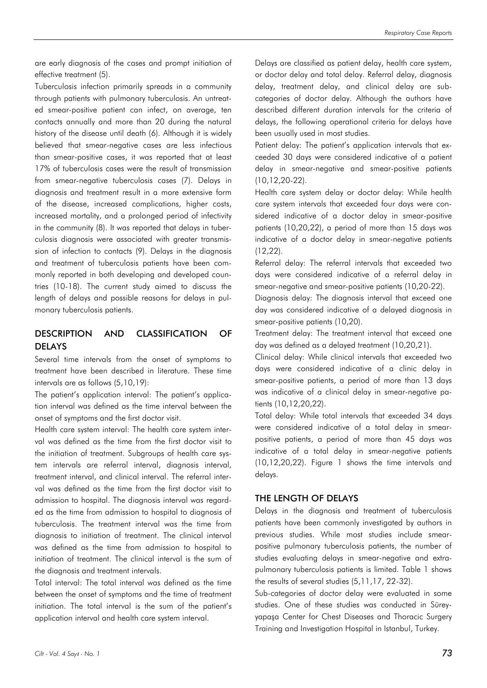are early diagnosis of the cases and prompt initiation of effective treatment (5).

Tuberculosis infection primarily spreads in a community through patients with pulmonary tuberculosis. An untreated smear-positive patient can infect, on average, ten contacts annually and more than 20 during the natural history of the disease until death (6). Although it is widely believed that smear-negative cases are less infectious than smear-positive cases, it was reported that at least 17% of tuberculosis cases were the result of transmission from smear-negative tuberculosis cases (7). Delays in diagnosis and treatment result in a more extensive form of the disease, increased complications, higher costs, increased mortality, and a prolonged period of infectivity in the community (8). It was reported that delays in tuberculosis diagnosis were associated with greater transmission of infection to contacts (9). Delays in the diagnosis and treatment of tuberculosis patients have been commonly reported in both developing and developed countries (10-18). The current study aimed to discuss the length of delays and possible reasons for delays in pulmonary tuberculosis patients.

# DESCRIPTION AND CLASSIFICATION OF DELAYS

Several time intervals from the onset of symptoms to treatment have been described in literature. These time intervals are as follows (5,10,19):

The patient's application interval: The patient's application interval was defined as the time interval between the onset of symptoms and the first doctor visit.

Health care system interval: The health care system interval was defined as the time from the first doctor visit to the initiation of treatment. Subgroups of health care system intervals are referral interval, diagnosis interval, treatment interval, and clinical interval. The referral interval was defined as the time from the first doctor visit to admission to hospital. The diagnosis interval was regarded as the time from admission to hospital to diagnosis of tuberculosis. The treatment interval was the time from diagnosis to initiation of treatment. The clinical interval was defined as the time from admission to hospital to initiation of treatment. The clinical interval is the sum of the diagnosis and treatment intervals.

Total interval: The total interval was defined as the time between the onset of symptoms and the time of treatment initiation. The total interval is the sum of the patient's application interval and health care system interval.

Delays are classified as patient delay, health care system, or doctor delay and total delay. Referral delay, diagnosis delay, treatment delay, and clinical delay are subcategories of doctor delay. Although the authors have described different duration intervals for the criteria of delays, the following operational criteria for delays have been usually used in most studies.

Patient delay: The patient's application intervals that exceeded 30 days were considered indicative of a patient delay in smear-negative and smear-positive patients (10,12,20-22).

Health care system delay or doctor delay: While health care system intervals that exceeded four days were considered indicative of a doctor delay in smear-positive patients (10,20,22), a period of more than 15 days was indicative of a doctor delay in smear-negative patients (12,22).

Referral delay: The referral intervals that exceeded two days were considered indicative of a referral delay in smear-negative and smear-positive patients (10,20-22).

Diagnosis delay: The diagnosis interval that exceed one day was considered indicative of a delayed diagnosis in smear-positive patients (10,20).

Treatment delay: The treatment interval that exceed one day was defined as a delayed treatment (10,20,21).

Clinical delay: While clinical intervals that exceeded two days were considered indicative of a clinic delay in smear-positive patients, a period of more than 13 days was indicative of a clinical delay in smear-negative patients (10,12,20,22).

Total delay: While total intervals that exceeded 34 days were considered indicative of a total delay in smearpositive patients, a period of more than 45 days was indicative of a total delay in smear-negative patients (10,12,20,22). Figure 1 shows the time intervals and delays.

#### THE LENGTH OF DELAYS

Delays in the diagnosis and treatment of tuberculosis patients have been commonly investigated by authors in previous studies. While most studies include smearpositive pulmonary tuberculosis patients, the number of studies evaluating delays in smear-negative and extrapulmonary tuberculosis patients is limited. Table 1 shows the results of several studies (5,11,17, 22-32).

Sub-categories of doctor delay were evaluated in some studies. One of these studies was conducted in Süreyyapaşa Center for Chest Diseases and Thoracic Surgery Training and Investigation Hospital in Istanbul, Turkey.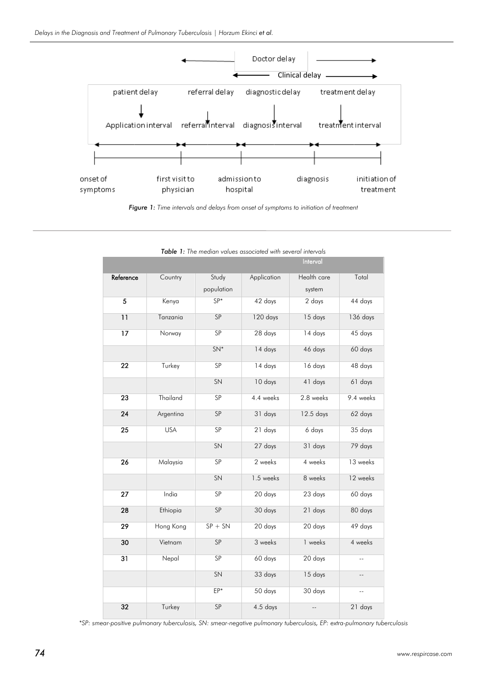

*Figure 1: Time intervals and delays from onset of symptoms to initiation of treatment*

|           |            |            |                            | Interval       |                |  |
|-----------|------------|------------|----------------------------|----------------|----------------|--|
| Reference | Country    | Study      | Health care<br>Application |                | Total          |  |
|           |            | population |                            | system         |                |  |
| 5         | Kenya      | $SP*$      | 42 days                    | 2 days         | 44 days        |  |
| 11        | Tanzania   | SP         | 120 days                   | 15 days        | 136 days       |  |
| 17        | Norway     | SP         | 28 days                    | 14 days        | 45 days        |  |
|           |            | $SN*$      | 14 days                    | 46 days        | 60 days        |  |
| 22        | Turkey     | SP         | $14 \text{ days}$          | 16 days        | 48 days        |  |
|           |            | SN         | 10 days                    | 41 days        | 61 days        |  |
| 23        | Thailand   | SP         | 4.4 weeks                  | 2.8 weeks      | 9.4 weeks      |  |
| 24        | Argentina  | SP         | 31 days                    | 12.5 days      | 62 days        |  |
| 25        | <b>USA</b> | SP         | 21 days                    | 6 days         | 35 days        |  |
|           |            | SN         | 27 days                    | 31 days        | 79 days        |  |
| 26        | Malaysia   | SP         | 2 weeks                    | 4 weeks        | 13 weeks       |  |
|           |            | SN         | 1.5 weeks                  | 8 weeks        | 12 weeks       |  |
| 27        | India      | SP         | 20 days                    | 23 days        | 60 days        |  |
| 28        | Ethiopia   | SP         | 30 days                    | 21 days        | 80 days        |  |
| 29        | Hong Kong  | $SP + SN$  | 20 days                    | 20 days        | 49 days        |  |
| 30        | Vietnam    | SP         | 3 weeks                    | 1 weeks        | 4 weeks        |  |
| 31        | Nepal      | SP         | 60 days                    | 20 days        | $\overline{a}$ |  |
|           |            | SN         | 33 days                    | 15 days        | Ξ.             |  |
|           |            | EP*        | 50 days                    | 30 days        | $\overline{a}$ |  |
| 32        | Turkey     | SP         | $4.5$ days                 | $\overline{a}$ | 21 days        |  |

|  | <b>Table 1:</b> The median values associated with several intervals |
|--|---------------------------------------------------------------------|
|--|---------------------------------------------------------------------|

*\*SP: smear-positive pulmonary tuberculosis, SN: smear-negative pulmonary tuberculosis, EP: extra-pulmonary tuberculosis*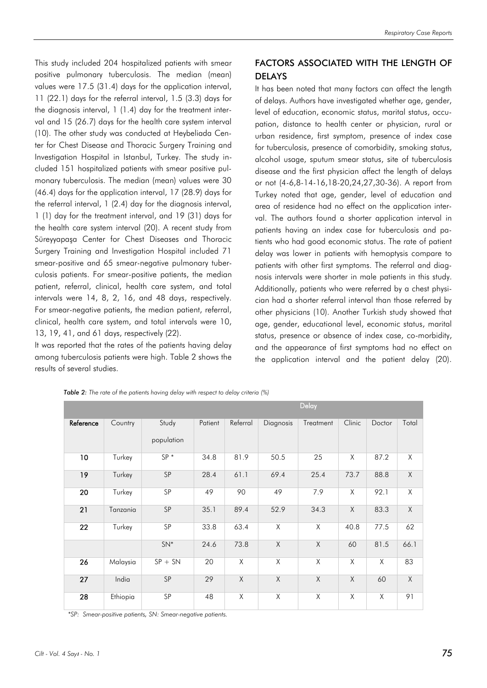This study included 204 hospitalized patients with smear positive pulmonary tuberculosis. The median (mean) values were 17.5 (31.4) days for the application interval, 11 (22.1) days for the referral interval, 1.5 (3.3) days for the diagnosis interval, 1 (1.4) day for the treatment interval and 15 (26.7) days for the health care system interval (10). The other study was conducted at Heybeliada Center for Chest Disease and Thoracic Surgery Training and Investigation Hospital in Istanbul, Turkey. The study included 151 hospitalized patients with smear positive pulmonary tuberculosis. The median (mean) values were 30 (46.4) days for the application interval, 17 (28.9) days for the referral interval, 1 (2.4) day for the diagnosis interval, 1 (1) day for the treatment interval, and 19 (31) days for the health care system interval (20). A recent study from Süreyyapaşa Center for Chest Diseases and Thoracic Surgery Training and Investigation Hospital included 71 smear-positive and 65 smear-negative pulmonary tuberculosis patients. For smear-positive patients, the median patient, referral, clinical, health care system, and total intervals were 14, 8, 2, 16, and 48 days, respectively. For smear-negative patients, the median patient, referral, clinical, health care system, and total intervals were 10, 13, 19, 41, and 61 days, respectively (22).

It was reported that the rates of the patients having delay among tuberculosis patients were high. Table 2 shows the results of several studies.

## FACTORS ASSOCIATED WITH THE LENGTH OF DELAYS

It has been noted that many factors can affect the length of delays. Authors have investigated whether age, gender, level of education, economic status, marital status, occupation, distance to health center or physician, rural or urban residence, first symptom, presence of index case for tuberculosis, presence of comorbidity, smoking status, alcohol usage, sputum smear status, site of tuberculosis disease and the first physician affect the length of delays or not (4-6,8-14-16,18-20,24,27,30-36). A report from Turkey noted that age, gender, level of education and area of residence had no effect on the application interval. The authors found a shorter application interval in patients having an index case for tuberculosis and patients who had good economic status. The rate of patient delay was lower in patients with hemoptysis compare to patients with other first symptoms. The referral and diagnosis intervals were shorter in male patients in this study. Additionally, patients who were referred by a chest physician had a shorter referral interval than those referred by other physicians (10). Another Turkish study showed that age, gender, educational level, economic status, marital status, presence or absence of index case, co-morbidity, and the appearance of first symptoms had no effect on the application interval and the patient delay (20).

|           |          |            |         |          |           | Delay     |             |        |                         |
|-----------|----------|------------|---------|----------|-----------|-----------|-------------|--------|-------------------------|
| Reference | Country  | Study      | Patient | Referral | Diagnosis | Treatment | Clinic      | Doctor | Total                   |
|           |          | population |         |          |           |           |             |        |                         |
| 10        | Turkey   | $SP*$      | 34.8    | 81.9     | 50.5      | 25        | X           | 87.2   | Χ                       |
| 19        | Turkey   | SP         | 28.4    | 61.1     | 69.4      | 25.4      | 73.7        | 88.8   | X                       |
| 20        | Turkey   | SP         | 49      | 90       | 49        | 7.9       | Χ           | 92.1   | $\overline{\mathsf{X}}$ |
| 21        | Tanzania | SP         | 35.1    | 89.4     | 52.9      | 34.3      | $\mathsf X$ | 83.3   | $\overline{\mathsf{X}}$ |
| 22        | Turkey   | SP         | 33.8    | 63.4     | X         | X         | 40.8        | 77.5   | 62                      |
|           |          | $SN*$      | 24.6    | 73.8     | X         | $\chi$    | 60          | 81.5   | 66.1                    |
| 26        | Malaysia | $SP + SN$  | 20      | X        | Χ         | X         | Χ           | X      | 83                      |
| 27        | India    | SP         | 29      | X        | $\sf X$   | X         | $\times$    | 60     | Χ                       |
| 28        | Ethiopia | <b>SP</b>  | 48      | X        | X         | X         | X           | X      | 91                      |

*Table 2: The rate of the patients having delay with respect to delay criteria (%)*

*\*SP: Smear-positive patients, SN: Smear-negative patients.*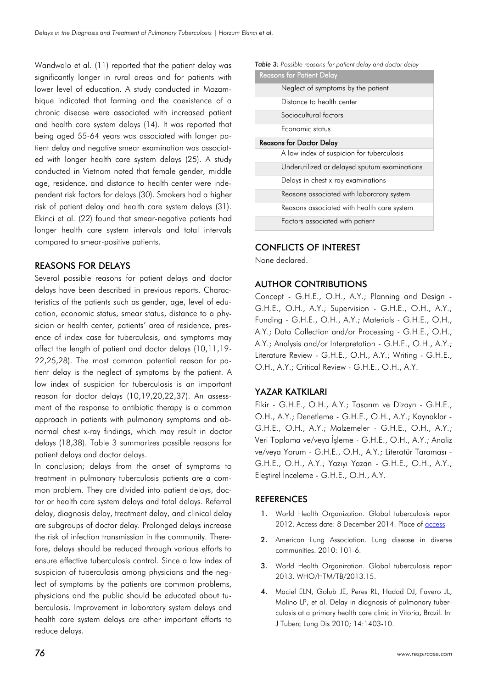Wandwalo et al. (11) reported that the patient delay was significantly longer in rural areas and for patients with lower level of education. A study conducted in Mozambique indicated that farming and the coexistence of a chronic disease were associated with increased patient and health care system delays (14). It was reported that being aged 55-64 years was associated with longer patient delay and negative smear examination was associated with longer health care system delays (25). A study conducted in Vietnam noted that female gender, middle age, residence, and distance to health center were independent risk factors for delays (30). Smokers had a higher risk of patient delay and health care system delays (31). Ekinci et al. (22) found that smear-negative patients had longer health care system intervals and total intervals compared to smear-positive patients.

#### REASONS FOR DELAYS

Several possible reasons for patient delays and doctor delays have been described in previous reports. Characteristics of the patients such as gender, age, level of education, economic status, smear status, distance to a physician or health center, patients' area of residence, presence of index case for tuberculosis, and symptoms may affect the length of patient and doctor delays (10,11,19- 22,25,28). The most common potential reason for patient delay is the neglect of symptoms by the patient. A low index of suspicion for tuberculosis is an important reason for doctor delays (10,19,20,22,37). An assessment of the response to antibiotic therapy is a common approach in patients with pulmonary symptoms and abnormal chest x-ray findings, which may result in doctor delays (18,38). Table 3 summarizes possible reasons for patient delays and doctor delays.

In conclusion; delays from the onset of symptoms to treatment in pulmonary tuberculosis patients are a common problem. They are divided into patient delays, doctor or health care system delays and total delays. Referral delay, diagnosis delay, treatment delay, and clinical delay are subgroups of doctor delay. Prolonged delays increase the risk of infection transmission in the community. Therefore, delays should be reduced through various efforts to ensure effective tuberculosis control. Since a low index of suspicion of tuberculosis among physicians and the neglect of symptoms by the patients are common problems, physicians and the public should be educated about tuberculosis. Improvement in laboratory system delays and health care system delays are other important efforts to reduce delays.

*Table 3: Possible reasons for patient delay and doctor delay*

| <b>Reasons for Patient Delay</b> |                                              |  |  |  |
|----------------------------------|----------------------------------------------|--|--|--|
|                                  | Neglect of symptoms by the patient           |  |  |  |
|                                  | Distance to health center                    |  |  |  |
|                                  | Sociocultural factors                        |  |  |  |
|                                  | Economic status                              |  |  |  |
| <b>Reasons for Doctor Delay</b>  |                                              |  |  |  |
|                                  | A low index of suspicion for tuberculosis    |  |  |  |
|                                  | Underutilized or delayed sputum examinations |  |  |  |
|                                  | Delays in chest x-ray examinations           |  |  |  |
|                                  | Reasons associated with laboratory system    |  |  |  |
|                                  | Reasons associated with health care system   |  |  |  |
|                                  | Factors associated with patient              |  |  |  |

### CONFLICTS OF INTEREST

None declared.

### AUTHOR CONTRIBUTIONS

Concept - G.H.E., O.H., A.Y.; Planning and Design - G.H.E., O.H., A.Y.; Supervision - G.H.E., O.H., A.Y.; Funding - G.H.E., O.H., A.Y.; Materials - G.H.E., O.H., A.Y.; Data Collection and/or Processing - G.H.E., O.H., A.Y.; Analysis and/or Interpretation - G.H.E., O.H., A.Y.; Literature Review - G.H.E., O.H., A.Y.; Writing - G.H.E., O.H., A.Y.; Critical Review - G.H.E., O.H., A.Y.

### YAZAR KATKILARI

Fikir - G.H.E., O.H., A.Y.; Tasarım ve Dizayn - G.H.E., O.H., A.Y.; Denetleme - G.H.E., O.H., A.Y.; Kaynaklar - G.H.E., O.H., A.Y.; Malzemeler - G.H.E., O.H., A.Y.; Veri Toplama ve/veya İşleme - G.H.E., O.H., A.Y.; Analiz ve/veya Yorum - G.H.E., O.H., A.Y.; Literatür Taraması - G.H.E., O.H., A.Y.; Yazıyı Yazan - G.H.E., O.H., A.Y.; Eleştirel İnceleme - G.H.E., O.H., A.Y.

### **REFERENCES**

- World Health Organization. Global tuberculosis report 2012. Access date: 8 December 2014. Place o[f access](http/apps.who.int/iris/bitstream/10665/75938/1/9789241564502_eng.pdf)
- 2. American Lung Association. Lung disease in diverse communities. 2010: 101-6.
- 3. World Health Organization. Global tuberculosis report 2013. WHO/HTM/TB/2013.15.
- 4. Maciel ELN, Golub JE, Peres RL, Hadad DJ, Favero JL, Molino LP, et al. Delay in diagnosis of pulmonary tuberculosis at a primary health care clinic in Vitoria, Brazil. Int J Tuberc Lung Dis 2010; 14:1403-10.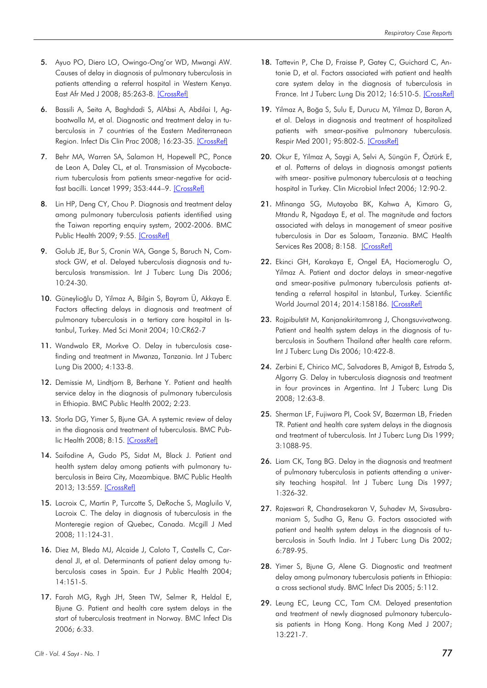- 5. Ayuo PO, Diero LO, Owingo-Ong'or WD, Mwangi AW. Causes of delay in diagnosis of pulmonary tuberculosis in patients attending a referral hospital in Western Kenya. East Afr Med J 2008; 85:263-8. [\[CrossRef\]](http://dx.doi.org/10.4314/eamj.v85i6.9623)
- 6. Bassili A, Seita A, Baghdadi S, AlAbsi A, Abdilai I, Agboatwalla M, et al. Diagnostic and treatment delay in tuberculosis in 7 countries of the Eastern Mediterranean Region. Infect Dis Clin Prac 2008; 16:23-35. [\[CrossRef\]](http://dx.doi.org/10.1097/IPC.0b013c31815d8d61)
- 7. Behr MA, Warren SA, Salamon H, Hopewell PC, Ponce de Leon A, Daley CL, et al. Transmission of Mycobacterium tuberculosis from patients smear-negative for acidfast bacilli. Lancet 1999; 353:444–9. [\[CrossRef\]](http://dx.doi.org/10.1016/S0140-6736(98)03406-0)
- 8. Lin HP, Deng CY, Chou P. Diagnosis and treatment delay among pulmonary tuberculosis patients identified using the Taiwan reporting enquiry system, 2002-2006. BMC Public Health 2009; 9:55. [\[CrossRef\]](http://dx.doi.org/10.1186/1471-2458-9-55)
- 9. Golub JE, Bur S, Cronin WA, Gange S, Baruch N, Comstock GW, et al. Delayed tuberculosis diagnosis and tuberculosis transmission. Int J Tuberc Lung Dis 2006; 10:24-30.
- 10. Güneylioğlu D, Yilmaz A, Bilgin S, Bayram Ü, Akkaya E. Factors affecting delays in diagnosis and treatment of pulmonary tuberculosis in a tertiary care hospital in Istanbul, Turkey. Med Sci Monit 2004; 10:CR62-7
- 11. Wandwalo ER, Morkve O. Delay in tuberculosis casefinding and treatment in Mwanza, Tanzania. Int J Tuberc Lung Dis 2000; 4:133-8.
- 12. Demissie M, Lindtiorn B, Berhane Y. Patient and health service delay in the diagnosis of pulmonary tuberculosis in Ethiopia. BMC Public Health 2002; 2:23.
- 13. Storla DG, Yimer S, Bjune GA. A systemic review of delay in the diagnosis and treatment of tuberculosis. BMC Public Health 2008; 8:15. [\[CrossRef\]](http://dx.doi.org/10.1186/1471-2458-8-15)
- 14. Saifodine A, Gudo PS, Sidat M, Black J. Patient and health system delay among patients with pulmonary tuberculosis in Beira City, Mozambique. BMC Public Health 2013; 13:559[. \[CrossRef\]](http://dx.doi.org/10.1186/1471-2458-13-559)
- 15. Lacroix C, Martin P, Turcotte S, DeRoche S, Magluilo V, Lacroix C. The delay in diagnosis of tuberculosis in the Monteregie region of Quebec, Canada. Mcgill J Med 2008; 11:124-31.
- 16. Diez M, Bleda MJ, Alcaide J, Caloto T, Castells C, Cardenal JI, et al. Determinants of patient delay among tuberculosis cases in Spain. Eur J Public Health 2004; 14:151-5.
- 17. Farah MG, Rygh JH, Steen TW, Selmer R, Heldal E, Bjune G. Patient and health care system delays in the start of tuberculosis treatment in Norway. BMC Infect Dis 2006; 6:33.
- 18. Tattevin P, Che D, Fraisse P, Gatey C, Guichard C, Antonie D, et al. Factors associated with patient and health care system delay in the diagnosis of tuberculosis in France. Int J Tuberc Lung Dis 2012; 16:510-5. [\[CrossRef\]](http://dx.doi.org/10.5588/ijtld.11.0420)
- 19. Yilmaz A, Boğa S, Sulu E, Durucu M, Yilmaz D, Baran A, et al. Delays in diagnosis and treatment of hospitalized patients with smear-positive pulmonary tuberculosis. Respir Med 2001; 95:802-5. [\[CrossRef\]](http://dx.doi.org/10.1053/rmed.2001.1156)
- 20. Okur E, Yilmaz A, Saygi A, Selvi A, Süngün F, Öztürk E, et al. Patterns of delays in diagnosis amongst patients with smear- positive pulmonary tuberculosis at a teaching hospital in Turkey. Clin Microbiol Infect 2006; 12:90-2.
- 21. Mfinanga SG, Mutayoba BK, Kahwa A, Kimaro G, Mtandu R, Ngadaya E, et al. The magnitude and factors associated with delays in management of smear positive tuberculosis in Dar es Salaam, Tanzania. BMC Health Services Res 2008; 8:158. [\[CrossRef\]](http://dx.doi.org/10.1186/1472-6963-8-158)
- 22. Ekinci GH, Karakaya E, Ongel EA, Haciomeroglu O, Yilmaz A. Patient and doctor delays in smear-negative and smear-positive pulmonary tuberculosis patients attending a referral hospital in Istanbul, Turkey. Scientific World Journal 2014; 2014:158186. [\[CrossRef\]](http://dx.doi.org/10.1155/2014/158186)
- 23. Rojpibulstit M, Kanjanakiritamrong J, Chongsuvivatwong. Patient and health system delays in the diagnosis of tuberculosis in Southern Thailand after health care reform. Int J Tuberc Lung Dis 2006; 10:422-8.
- 24. Zerbini E, Chirico MC, Salvadores B, Amigot B, Estrada S, Algorry G. Delay in tuberculosis diagnosis and treatment in four provinces in Argentina. Int J Tuberc Lung Dis 2008; 12:63-8.
- 25. Sherman LF, Fujiwara PI, Cook SV, Bazerman LB, Frieden TR. Patient and health care system delays in the diagnosis and treatment of tuberculosis. Int J Tuberc Lung Dis 1999; 3:1088-95.
- 26. Liam CK, Tang BG. Delay in the diagnosis and treatment of pulmonary tuberculosis in patients attending a university teaching hospital. Int J Tuberc Lung Dis 1997; 1:326-32.
- 27. Rajeswari R, Chandrasekaran V, Suhadev M, Sivasubramaniam S, Sudha G, Renu G. Factors associated with patient and health system delays in the diagnosis of tuberculosis in South India. Int J Tuberc Lung Dis 2002; 6:789-95.
- 28. Yimer S, Bjune G, Alene G. Diagnostic and treatment delay among pulmonary tuberculosis patients in Ethiopia: a cross sectional study. BMC Infect Dis 2005; 5:112.
- 29. Leung EC, Leung CC, Tam CM. Delayed presentation and treatment of newly diagnosed pulmonary tuberculosis patients in Hong Kong. Hong Kong Med J 2007; 13:221-7.